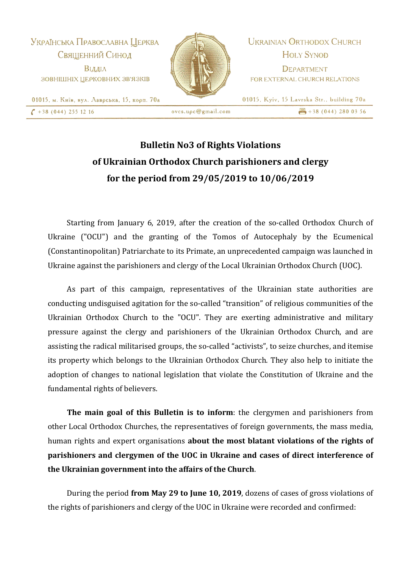Українська Православна Церква Священний Синод Відділ ЗОВНІШНІХ ЦЕРКОВНИХ ЗВ'ЯЗКІВ



**UKRAINIAN ORTHODOX CHURCH HOLY SYNOD** DEPARTMENT FOR EXTERNAL CHURCH RELATIONS

01015, Kyiv, 15 Lavrska Str., building 70a

 $\frac{1}{2}$  +38 (044) 280 03 56

01015, м. Київ, вул. Лаврська, 15, корп. 70а  $\binom{+38(044)}{2551216}$ 

 $ovcs.$ u $\rho$ c $@$ gmail.com

## **Bulletin No3 of Rights Violations of Ukrainian Orthodox Church parishioners and clergy for the period from 29/05/2019 to 10/06/2019**

Starting from January 6, 2019, after the creation of the so-called Orthodox Church of Ukraine ("OCU") and the granting of the Tomos of Autocephaly by the Ecumenical (Constantinopolitan) Patriarchate to its Primate, an unprecedented campaign was launched in Ukraine against the parishioners and clergy of the Local Ukrainian Orthodox Church (UOC).

As part of this campaign, representatives of the Ukrainian state authorities are conducting undisguised agitation for the so-called "transition" of religious communities of the Ukrainian Orthodox Church to the "OCU". They are exerting administrative and military pressure against the clergy and parishioners of the Ukrainian Orthodox Church, and are assisting the radical militarised groups, the so-called "activists", to seize churches, and itemise its property which belongs to the Ukrainian Orthodox Church. They also help to initiate the adoption of changes to national legislation that violate the Constitution of Ukraine and the fundamental rights of believers.

**The main goal of this Bulletin is to inform**: the clergymen and parishioners from other Local Orthodox Churches, the representatives of foreign governments, the mass media, human rights and expert organisations **about the most blatant violations of the rights of parishioners and clergymen of the UOC in Ukraine and cases of direct interference of the Ukrainian government into the affairs of the Church**.

During the period **from May 29 to June 10, 2019**, dozens of cases of gross violations of the rights of parishioners and clergy of the UOC in Ukraine were recorded and confirmed: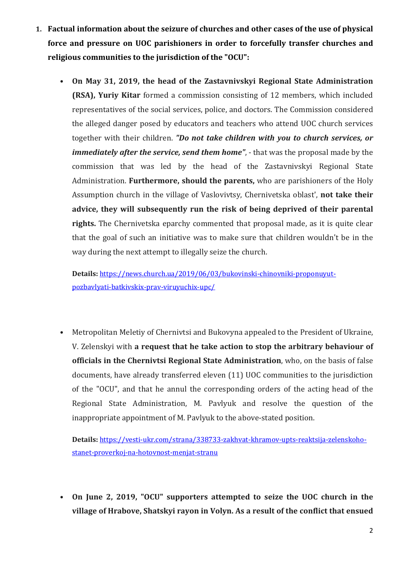- **1. Factual information about the seizure of churches and other cases of the use of physical force and pressure on UOC parishioners in order to forcefully transfer churches and religious communities to the jurisdiction of the "OCU":**
	- **On May 31, 2019, the head of the Zastavnivskyi Regional State Administration (RSA), Yuriy Kitar** formed a commission consisting of 12 members, which included representatives of the social services, police, and doctors. The Commission considered the alleged danger posed by educators and teachers who attend UOC church services together with their children. *"Do not take children with you to church services, or immediately after the service, send them home"*, - that was the proposal made by the commission that was led by the head of the Zastavnivskyi Regional State Administration. **Furthermore, should the parents,** who are parishioners of the Holy Assumption church in the village of Vaslovivtsy, Chernivetska oblast', **not take their advice, they will subsequently run the risk of being deprived of their parental rights.** The Chernivetska eparchy commented that proposal made, as it is quite clear that the goal of such an initiative was to make sure that children wouldn't be in the way during the next attempt to illegally seize the church.

**Details:** [https://news.church.ua/2019/06/03/bukovinski-chinovniki-proponuyut](https://news.church.ua/2019/06/03/bukovinski-chinovniki-proponuyut-pozbavlyati-batkivskix-prav-viruyuchix-upc/)[pozbavlyati-batkivskix-prav-viruyuchix-upc/](https://news.church.ua/2019/06/03/bukovinski-chinovniki-proponuyut-pozbavlyati-batkivskix-prav-viruyuchix-upc/)

• Metropolitan Meletiy of Chernivtsi and Bukovyna appealed to the President of Ukraine, V. Zelenskyi with **a request that he take action to stop the arbitrary behaviour of officials in the Chernivtsi Regional State Administration**, who, on the basis of false documents, have already transferred eleven (11) UOC communities to the jurisdiction of the "OCU", and that he annul the corresponding orders of the acting head of the Regional State Administration, M. Pavlyuk and resolve the question of the inappropriate appointment of M. Pavlyuk to the above-stated position.

**Details:** [https://vesti-ukr.com/strana/338733-zakhvat-khramov-upts-reaktsija-zelenskoho](https://vesti-ukr.com/strana/338733-zakhvat-khramov-upts-reaktsija-zelenskoho-stanet-proverkoj-na-hotovnost-menjat-stranu)[stanet-proverkoj-na-hotovnost-menjat-stranu](https://vesti-ukr.com/strana/338733-zakhvat-khramov-upts-reaktsija-zelenskoho-stanet-proverkoj-na-hotovnost-menjat-stranu)

• **On June 2, 2019, "OCU" supporters attempted to seize the UOC church in the village of Hrabove, Shatskyi rayon in Volyn. As a result of the conflict that ensued**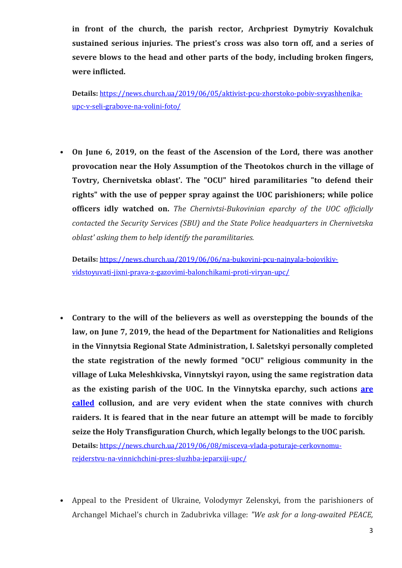**in front of the church, the parish rector, Archpriest Dymytriy Kovalchuk sustained serious injuries. The priest's cross was also torn off, and a series of severe blows to the head and other parts of the body, including broken fingers, were inflicted.**

**Details:** [https://news.church.ua/2019/06/05/aktivist-pcu-zhorstoko-pobiv-svyashhenika](https://news.church.ua/2019/06/05/aktivist-pcu-zhorstoko-pobiv-svyashhenika-upc-v-seli-grabove-na-volini-foto/)[upc-v-seli-grabove-na-volini-foto/](https://news.church.ua/2019/06/05/aktivist-pcu-zhorstoko-pobiv-svyashhenika-upc-v-seli-grabove-na-volini-foto/)

• **On June 6, 2019, on the feast of the Ascension of the Lord, there was another provocation near the Holy Assumption of the Theotokos church in the village of Tovtry, Chernivetska oblast'. The "OCU" hired paramilitaries "to defend their rights" with the use of pepper spray against the UOC parishioners; while police officers idly watched on.** *The Chernivtsi-Bukovinian eparchy of the UOC officially contacted the Security Services (SBU) and the State Police headquarters in Chernivetska oblast' asking them to help identify the paramilitaries.*

**Details:** [https://news.church.ua/2019/06/06/na-bukovini-pcu-najnyala-bojovikiv](https://news.church.ua/2019/06/06/na-bukovini-pcu-najnyala-bojovikiv-vidstoyuvati-jixni-prava-z-gazovimi-balonchikami-proti-viryan-upc/)[vidstoyuvati-jixni-prava-z-gazovimi-balonchikami-proti-viryan-upc/](https://news.church.ua/2019/06/06/na-bukovini-pcu-najnyala-bojovikiv-vidstoyuvati-jixni-prava-z-gazovimi-balonchikami-proti-viryan-upc/)

• **Contrary to the will of the believers as well as overstepping the bounds of the law, on June 7, 2019, the head of the Department for Nationalities and Religions in the Vinnytsia Regional State Administration, I. Saletskyi personally completed the state registration of the newly formed "OCU" religious community in the village of Luka Meleshkivska, Vinnytskyi rayon, using the same registration data as the existing parish of the UOC. In the Vinnytska eparchy, such actions [are](http://eparhia.vinnica.ua/item/748-tserkovne-reiderstvo-na-vinnychchyni.html)  [called](http://eparhia.vinnica.ua/item/748-tserkovne-reiderstvo-na-vinnychchyni.html) collusion, and are very evident when the state connives with church raiders. It is feared that in the near future an attempt will be made to forcibly seize the Holy Transfiguration Church, which legally belongs to the UOC parish. Details:** [https://news.church.ua/2019/06/08/misceva-vlada-poturaje-cerkovnomu-](https://news.church.ua/2019/06/08/misceva-vlada-poturaje-cerkovnomu-rejderstvu-na-vinnichchini-pres-sluzhba-jeparxiji-upc/)

[rejderstvu-na-vinnichchini-pres-sluzhba-jeparxiji-upc/](https://news.church.ua/2019/06/08/misceva-vlada-poturaje-cerkovnomu-rejderstvu-na-vinnichchini-pres-sluzhba-jeparxiji-upc/)

• Appeal to the President of Ukraine, Volodymyr Zelenskyi, from the parishioners of Archangel Michael's church in Zadubrivka village: *"We ask for a long-awaited PEACE,*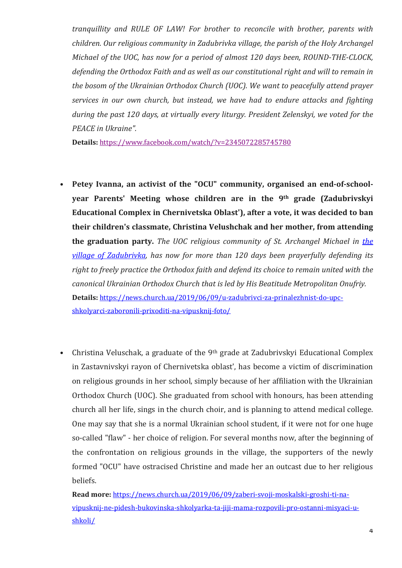*tranquillity and RULE OF LAW! For brother to reconcile with brother, parents with children. Our religious community in Zadubrivka village, the parish of the Holy Archangel Michael of the UOC, has now for a period of almost 120 days been, ROUND-THE-CLOCK, defending the Orthodox Faith and as well as our constitutional right and will to remain in the bosom of the Ukrainian Orthodox Church (UOC). We want to peacefully attend prayer services in our own church, but instead, we have had to endure attacks and fighting during the past 120 days, at virtually every liturgy. President Zelenskyi, we voted for the PEACE in Ukraine".*

**Details:** <https://www.facebook.com/watch/?v=2345072285745780>

- **Petey Ivanna, an activist of the "OCU" community, organised an end-of-schoolyear Parents' Meeting whose children are in the 9th grade (Zadubrivskyi Educational Complex in Chernivetska Oblast'), after a vote, it was decided to ban their children's classmate, Christina Velushchak and her mother, from attending the graduation party.** *The UOC religious community of St. Archangel Michael in [the](http://news.church.ua/tag/zadubrivka/) village of [Zadubrivka,](http://news.church.ua/tag/zadubrivka/) has now for more than 120 days been prayerfully defending its right to freely practice the Orthodox faith and defend its choice to remain united with the canonical Ukrainian Orthodox Church that is led by His Beatitude Metropolitan Onufriy.* **Details:** [https://news.church.ua/2019/06/09/u-zadubrivci-za-prinalezhnist-do-upc](https://news.church.ua/2019/06/09/u-zadubrivci-za-prinalezhnist-do-upc-shkolyarci-zaboronili-prixoditi-na-vipusknij-foto/)[shkolyarci-zaboronili-prixoditi-na-vipusknij-foto/](https://news.church.ua/2019/06/09/u-zadubrivci-za-prinalezhnist-do-upc-shkolyarci-zaboronili-prixoditi-na-vipusknij-foto/)
- Christina Veluschak, a graduate of the 9<sup>th</sup> grade at Zadubrivskyi Educational Complex in Zastavnivskyi rayon of Chernivetska oblast', has become a victim of discrimination on religious grounds in her school, simply because of her affiliation with the Ukrainian Orthodox Church (UOC). She graduated from school with honours, has been attending church all her life, sings in the church choir, and is planning to attend medical college. One may say that she is a normal Ukrainian school student, if it were not for one huge so-called "flaw" - her choice of religion. For several months now, after the beginning of the confrontation on religious grounds in the village, the supporters of the newly formed "OCU" have ostracised Christine and made her an outcast due to her religious beliefs.

**Read more:** [https://news.church.ua/2019/06/09/zaberi-svoji-moskalski-groshi-ti-na](https://news.church.ua/2019/06/09/zaberi-svoji-moskalski-groshi-ti-na-vipusknij-ne-pidesh-bukovinska-shkolyarka-ta-jiji-mama-rozpovili-pro-ostanni-misyaci-u-shkoli/)[vipusknij-ne-pidesh-bukovinska-shkolyarka-ta-jiji-mama-rozpovili-pro-ostanni-misyaci-u](https://news.church.ua/2019/06/09/zaberi-svoji-moskalski-groshi-ti-na-vipusknij-ne-pidesh-bukovinska-shkolyarka-ta-jiji-mama-rozpovili-pro-ostanni-misyaci-u-shkoli/)[shkoli/](https://news.church.ua/2019/06/09/zaberi-svoji-moskalski-groshi-ti-na-vipusknij-ne-pidesh-bukovinska-shkolyarka-ta-jiji-mama-rozpovili-pro-ostanni-misyaci-u-shkoli/)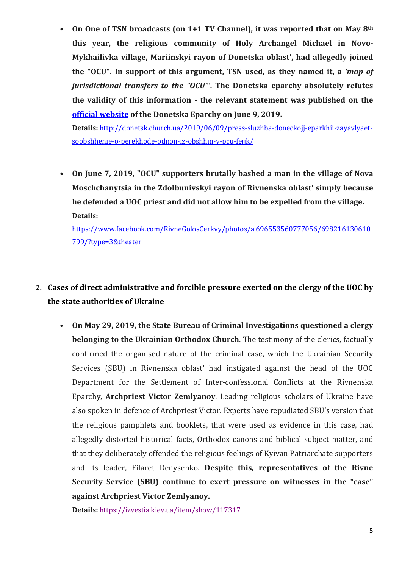• **On One of TSN broadcasts (on 1+1 TV Channel), it was reported that on May 8th this year, the religious community of Holy Archangel Michael in Novo-Mykhailivka village, Mariinskyi rayon of Donetska oblast', had allegedly joined the "OCU". In support of this argument, TSN used, as they named it, a** *'map of jurisdictional transfers to the "OCU"'***. The Donetska eparchy absolutely refutes the validity of this information - the relevant statement was published on the [official website](http://donetsk.church.ua/2019/06/09/press-sluzhba-doneckojj-eparkhii-zayavlyaet-soobshhenie-o-perekhode-odnojj-iz-obshhin-v-pcu-fejjk/) of the Donetska Eparchy on June 9, 2019.**

**Details:** [http://donetsk.church.ua/2019/06/09/press-sluzhba-doneckojj-eparkhii-zayavlyaet](http://donetsk.church.ua/2019/06/09/press-sluzhba-doneckojj-eparkhii-zayavlyaet-soobshhenie-o-perekhode-odnojj-iz-obshhin-v-pcu-fejjk/)[soobshhenie-o-perekhode-odnojj-iz-obshhin-v-pcu-fejjk/](http://donetsk.church.ua/2019/06/09/press-sluzhba-doneckojj-eparkhii-zayavlyaet-soobshhenie-o-perekhode-odnojj-iz-obshhin-v-pcu-fejjk/)

• **On June 7, 2019, "OCU" supporters brutally bashed a man in the village of Nova Moschchanytsia in the Zdolbunivskyi rayon of Rivnenska oblast' simply because he defended a UOC priest and did not allow him to be expelled from the village. Details:**

[https://www.facebook.com/RivneGolosCerkvy/photos/a.696553560777056/698216130610](https://www.facebook.com/RivneGolosCerkvy/photos/a.696553560777056/698216130610799/?type=3&theater) [799/?type=3&theater](https://www.facebook.com/RivneGolosCerkvy/photos/a.696553560777056/698216130610799/?type=3&theater)

## **2. Cases of direct administrative and forcible pressure exerted on the clergy of the UOC by the state authorities of Ukraine**

• **On May 29, 2019, the State Bureau of Criminal Investigations questioned a clergy belonging to the Ukrainian Orthodox Church**. The testimony of the clerics, factually confirmed the organised nature of the criminal case, which the Ukrainian Security Services (SBU) in Rivnenska oblast' had instigated against the head of the UOC Department for the Settlement of Inter-confessional Conflicts at the Rivnenska Eparchy, **Archpriest Victor Zemlyanoy**. Leading religious scholars of Ukraine have also spoken in defence of Archpriest Victor. Experts have repudiated SBU's version that the religious pamphlets and booklets, that were used as evidence in this case, had allegedly distorted historical facts, Orthodox canons and biblical subject matter, and that they deliberately offended the religious feelings of Kyivan Patriarchate supporters and its leader, Filaret Denysenko. **Despite this, representatives of the Rivne Security Service (SBU) continue to exert pressure on witnesses in the "case" against Archpriest Victor Zemlyanoy.**

**Details:** <https://izvestia.kiev.ua/item/show/117317>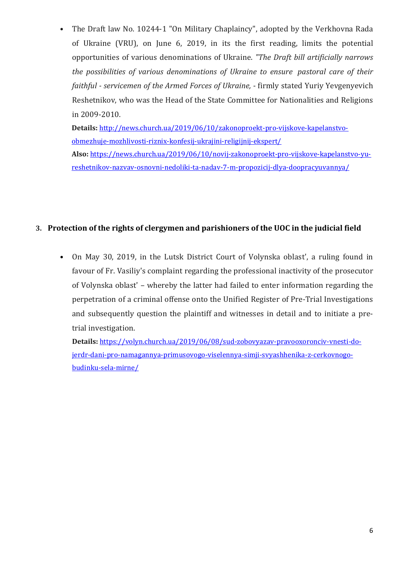• The Draft law No. 10244-1 "On Military Chaplaincy", adopted by the Verkhovna Rada of Ukraine (VRU), on June 6, 2019, in its the first reading, limits the potential opportunities of various denominations of Ukraine. *"The Draft bill artificially narrows the possibilities of various denominations of Ukraine to ensure pastoral care of their faithful - servicemen of the Armed Forces of Ukraine,* - firmly stated Yuriy Yevgenyevich Reshetnikov, who was the Head of the State Committee for Nationalities and Religions in 2009-2010.

**Details:** [http://news.church.ua/2019/06/10/zakonoproekt-pro-vijskove-kapelanstvo](http://news.church.ua/2019/06/10/zakonoproekt-pro-vijskove-kapelanstvo-obmezhuje-mozhlivosti-riznix-konfesij-ukrajini-religijnij-ekspert/)[obmezhuje-mozhlivosti-riznix-konfesij-ukrajini-religijnij-ekspert/](http://news.church.ua/2019/06/10/zakonoproekt-pro-vijskove-kapelanstvo-obmezhuje-mozhlivosti-riznix-konfesij-ukrajini-religijnij-ekspert/)

**Also:** [https://news.church.ua/2019/06/10/novij-zakonoproekt-pro-vijskove-kapelanstvo-yu](https://news.church.ua/2019/06/10/novij-zakonoproekt-pro-vijskove-kapelanstvo-yu-reshetnikov-nazvav-osnovni-nedoliki-ta-nadav-7-m-propozicij-dlya-doopracyuvannya/)[reshetnikov-nazvav-osnovni-nedoliki-ta-nadav-7-m-propozicij-dlya-doopracyuvannya/](https://news.church.ua/2019/06/10/novij-zakonoproekt-pro-vijskove-kapelanstvo-yu-reshetnikov-nazvav-osnovni-nedoliki-ta-nadav-7-m-propozicij-dlya-doopracyuvannya/)

## **3. Protection of the rights of clergymen and parishioners of the UOC in the judicial field**

• On May 30, 2019, in the Lutsk District Court of Volynska oblast', a ruling found in favour of Fr. Vasiliy's complaint regarding the professional inactivity of the prosecutor of Volynska oblast' – whereby the latter had failed to enter information regarding the perpetration of a criminal offense onto the Unified Register of Pre-Trial Investigations and subsequently question the plaintiff and witnesses in detail and to initiate a pretrial investigation.

**Details:** [https://volyn.church.ua/2019/06/08/sud-zobovyazav-pravooxoronciv-vnesti-do](https://volyn.church.ua/2019/06/08/sud-zobovyazav-pravooxoronciv-vnesti-do-jerdr-dani-pro-namagannya-primusovogo-viselennya-simji-svyashhenika-z-cerkovnogo-budinku-sela-mirne/)[jerdr-dani-pro-namagannya-primusovogo-viselennya-simji-svyashhenika-z-cerkovnogo](https://volyn.church.ua/2019/06/08/sud-zobovyazav-pravooxoronciv-vnesti-do-jerdr-dani-pro-namagannya-primusovogo-viselennya-simji-svyashhenika-z-cerkovnogo-budinku-sela-mirne/)[budinku-sela-mirne/](https://volyn.church.ua/2019/06/08/sud-zobovyazav-pravooxoronciv-vnesti-do-jerdr-dani-pro-namagannya-primusovogo-viselennya-simji-svyashhenika-z-cerkovnogo-budinku-sela-mirne/)